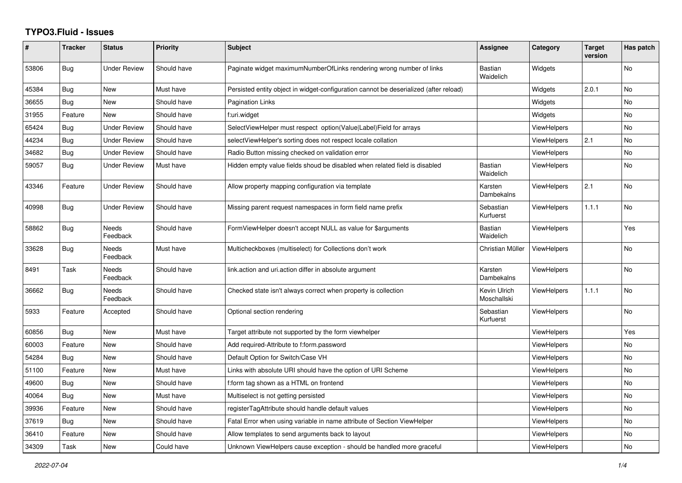## **TYPO3.Fluid - Issues**

| $\#$  | <b>Tracker</b> | <b>Status</b>            | <b>Priority</b> | <b>Subject</b>                                                                        | Assignee                    | Category           | <b>Target</b><br>version | Has patch |
|-------|----------------|--------------------------|-----------------|---------------------------------------------------------------------------------------|-----------------------------|--------------------|--------------------------|-----------|
| 53806 | Bug            | Under Review             | Should have     | Paginate widget maximumNumberOfLinks rendering wrong number of links                  | <b>Bastian</b><br>Waidelich | Widgets            |                          | <b>No</b> |
| 45384 | Bug            | New                      | Must have       | Persisted entity object in widget-configuration cannot be deserialized (after reload) |                             | Widgets            | 2.0.1                    | No        |
| 36655 | <b>Bug</b>     | <b>New</b>               | Should have     | Pagination Links                                                                      |                             | Widgets            |                          | <b>No</b> |
| 31955 | Feature        | New                      | Should have     | f:uri.widget                                                                          |                             | Widgets            |                          | <b>No</b> |
| 65424 | <b>Bug</b>     | <b>Under Review</b>      | Should have     | SelectViewHelper must respect option(Value Label)Field for arrays                     |                             | <b>ViewHelpers</b> |                          | No        |
| 44234 | Bug            | <b>Under Review</b>      | Should have     | selectViewHelper's sorting does not respect locale collation                          |                             | ViewHelpers        | 2.1                      | <b>No</b> |
| 34682 | Bug            | Under Review             | Should have     | Radio Button missing checked on validation error                                      |                             | <b>ViewHelpers</b> |                          | No        |
| 59057 | <b>Bug</b>     | Under Review             | Must have       | Hidden empty value fields shoud be disabled when related field is disabled            | <b>Bastian</b><br>Waidelich | <b>ViewHelpers</b> |                          | No        |
| 43346 | Feature        | Under Review             | Should have     | Allow property mapping configuration via template                                     | Karsten<br>Dambekalns       | ViewHelpers        | 2.1                      | <b>No</b> |
| 40998 | Bug            | <b>Under Review</b>      | Should have     | Missing parent request namespaces in form field name prefix                           | Sebastian<br>Kurfuerst      | <b>ViewHelpers</b> | 1.1.1                    | No        |
| 58862 | Bug            | Needs<br>Feedback        | Should have     | FormViewHelper doesn't accept NULL as value for \$arguments                           | <b>Bastian</b><br>Waidelich | <b>ViewHelpers</b> |                          | Yes       |
| 33628 | <b>Bug</b>     | <b>Needs</b><br>Feedback | Must have       | Multicheckboxes (multiselect) for Collections don't work                              | Christian Müller            | ViewHelpers        |                          | <b>No</b> |
| 8491  | Task           | Needs<br>Feedback        | Should have     | link action and uri action differ in absolute argument                                | Karsten<br>Dambekalns       | <b>ViewHelpers</b> |                          | <b>No</b> |
| 36662 | Bug            | Needs<br>Feedback        | Should have     | Checked state isn't always correct when property is collection                        | Kevin Ulrich<br>Moschallski | <b>ViewHelpers</b> | 1.1.1                    | No        |
| 5933  | Feature        | Accepted                 | Should have     | Optional section rendering                                                            | Sebastian<br>Kurfuerst      | ViewHelpers        |                          | <b>No</b> |
| 60856 | Bug            | <b>New</b>               | Must have       | Target attribute not supported by the form viewhelper                                 |                             | <b>ViewHelpers</b> |                          | Yes       |
| 60003 | Feature        | New                      | Should have     | Add required-Attribute to f:form.password                                             |                             | ViewHelpers        |                          | <b>No</b> |
| 54284 | Bug            | New                      | Should have     | Default Option for Switch/Case VH                                                     |                             | ViewHelpers        |                          | No        |
| 51100 | Feature        | New                      | Must have       | Links with absolute URI should have the option of URI Scheme                          |                             | <b>ViewHelpers</b> |                          | No        |
| 49600 | Bug            | New                      | Should have     | f:form tag shown as a HTML on frontend                                                |                             | <b>ViewHelpers</b> |                          | No        |
| 40064 | <b>Bug</b>     | New                      | Must have       | Multiselect is not getting persisted                                                  |                             | ViewHelpers        |                          | <b>No</b> |
| 39936 | Feature        | New                      | Should have     | registerTagAttribute should handle default values                                     |                             | <b>ViewHelpers</b> |                          | No        |
| 37619 | Bug            | New                      | Should have     | Fatal Error when using variable in name attribute of Section ViewHelper               |                             | ViewHelpers        |                          | No        |
| 36410 | Feature        | New                      | Should have     | Allow templates to send arguments back to layout                                      |                             | ViewHelpers        |                          | <b>No</b> |
| 34309 | Task           | New                      | Could have      | Unknown ViewHelpers cause exception - should be handled more graceful                 |                             | <b>ViewHelpers</b> |                          | <b>No</b> |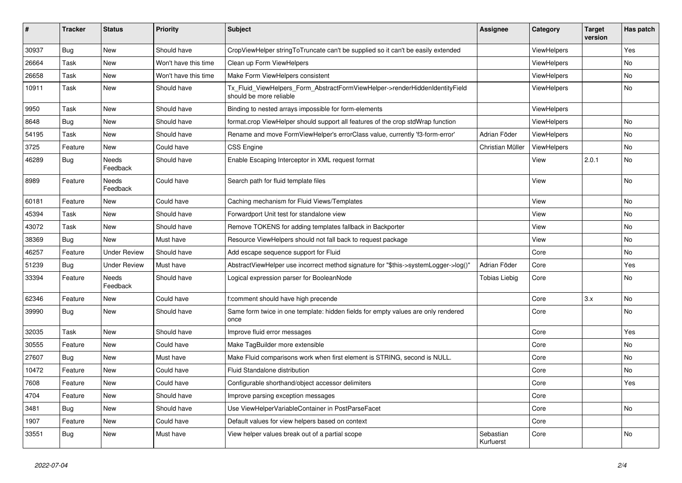| ∦     | <b>Tracker</b> | <b>Status</b>       | <b>Priority</b>      | <b>Subject</b>                                                                                         | <b>Assignee</b>        | Category           | <b>Target</b><br>version | Has patch |
|-------|----------------|---------------------|----------------------|--------------------------------------------------------------------------------------------------------|------------------------|--------------------|--------------------------|-----------|
| 30937 | Bug            | <b>New</b>          | Should have          | CropViewHelper stringToTruncate can't be supplied so it can't be easily extended                       |                        | ViewHelpers        |                          | Yes       |
| 26664 | Task           | New                 | Won't have this time | Clean up Form ViewHelpers                                                                              |                        | <b>ViewHelpers</b> |                          | No        |
| 26658 | Task           | New                 | Won't have this time | Make Form ViewHelpers consistent                                                                       |                        | ViewHelpers        |                          | No.       |
| 10911 | Task           | <b>New</b>          | Should have          | Tx_Fluid_ViewHelpers_Form_AbstractFormViewHelper->renderHiddenIdentityField<br>should be more reliable |                        | <b>ViewHelpers</b> |                          | <b>No</b> |
| 9950  | Task           | New                 | Should have          | Binding to nested arrays impossible for form-elements                                                  |                        | <b>ViewHelpers</b> |                          |           |
| 8648  | <b>Bug</b>     | New                 | Should have          | format.crop ViewHelper should support all features of the crop stdWrap function                        |                        | ViewHelpers        |                          | No        |
| 54195 | Task           | New                 | Should have          | Rename and move FormViewHelper's errorClass value, currently 'f3-form-error'                           | Adrian Föder           | ViewHelpers        |                          | No        |
| 3725  | Feature        | New                 | Could have           | <b>CSS Engine</b>                                                                                      | Christian Müller       | ViewHelpers        |                          | No        |
| 46289 | Bug            | Needs<br>Feedback   | Should have          | Enable Escaping Interceptor in XML request format                                                      |                        | View               | 2.0.1                    | No        |
| 8989  | Feature        | Needs<br>Feedback   | Could have           | Search path for fluid template files                                                                   |                        | View               |                          | No        |
| 60181 | Feature        | New                 | Could have           | Caching mechanism for Fluid Views/Templates                                                            |                        | View               |                          | No        |
| 45394 | Task           | <b>New</b>          | Should have          | Forwardport Unit test for standalone view                                                              |                        | View               |                          | <b>No</b> |
| 43072 | Task           | New                 | Should have          | Remove TOKENS for adding templates fallback in Backporter                                              |                        | View               |                          | No        |
| 38369 | Bug            | <b>New</b>          | Must have            | Resource ViewHelpers should not fall back to request package                                           |                        | View               |                          | No        |
| 46257 | Feature        | <b>Under Review</b> | Should have          | Add escape sequence support for Fluid                                                                  |                        | Core               |                          | No        |
| 51239 | Bug            | <b>Under Review</b> | Must have            | AbstractViewHelper use incorrect method signature for "\$this->systemLogger->log()"                    | Adrian Föder           | Core               |                          | Yes       |
| 33394 | Feature        | Needs<br>Feedback   | Should have          | Logical expression parser for BooleanNode                                                              | Tobias Liebig          | Core               |                          | No        |
| 62346 | Feature        | New                 | Could have           | f:comment should have high precende                                                                    |                        | Core               | 3.x                      | No.       |
| 39990 | Bug            | New                 | Should have          | Same form twice in one template: hidden fields for empty values are only rendered<br>once              |                        | Core               |                          | No        |
| 32035 | Task           | <b>New</b>          | Should have          | Improve fluid error messages                                                                           |                        | Core               |                          | Yes       |
| 30555 | Feature        | New                 | Could have           | Make TagBuilder more extensible                                                                        |                        | Core               |                          | No        |
| 27607 | Bug            | <b>New</b>          | Must have            | Make Fluid comparisons work when first element is STRING, second is NULL.                              |                        | Core               |                          | No        |
| 10472 | Feature        | New                 | Could have           | <b>Fluid Standalone distribution</b>                                                                   |                        | Core               |                          | No        |
| 7608  | Feature        | New                 | Could have           | Configurable shorthand/object accessor delimiters                                                      |                        | Core               |                          | Yes       |
| 4704  | Feature        | New                 | Should have          | Improve parsing exception messages                                                                     |                        | Core               |                          |           |
| 3481  | Bug            | New                 | Should have          | Use ViewHelperVariableContainer in PostParseFacet                                                      |                        | Core               |                          | No        |
| 1907  | Feature        | New                 | Could have           | Default values for view helpers based on context                                                       |                        | Core               |                          |           |
| 33551 | Bug            | <b>New</b>          | Must have            | View helper values break out of a partial scope                                                        | Sebastian<br>Kurfuerst | Core               |                          | No        |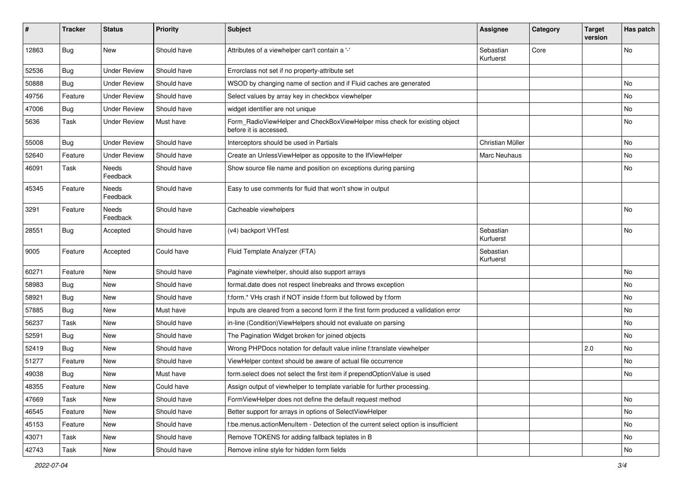| #     | <b>Tracker</b> | <b>Status</b>       | <b>Priority</b> | <b>Subject</b>                                                                                       | <b>Assignee</b>        | Category | <b>Target</b><br>version | Has patch |
|-------|----------------|---------------------|-----------------|------------------------------------------------------------------------------------------------------|------------------------|----------|--------------------------|-----------|
| 12863 | Bug            | New                 | Should have     | Attributes of a viewhelper can't contain a '-'                                                       | Sebastian<br>Kurfuerst | Core     |                          | <b>No</b> |
| 52536 | Bug            | <b>Under Review</b> | Should have     | Errorclass not set if no property-attribute set                                                      |                        |          |                          |           |
| 50888 | Bug            | <b>Under Review</b> | Should have     | WSOD by changing name of section and if Fluid caches are generated                                   |                        |          |                          | <b>No</b> |
| 49756 | Feature        | <b>Under Review</b> | Should have     | Select values by array key in checkbox viewhelper                                                    |                        |          |                          | No        |
| 47006 | Bug            | <b>Under Review</b> | Should have     | widget identifier are not unique                                                                     |                        |          |                          | <b>No</b> |
| 5636  | Task           | <b>Under Review</b> | Must have       | Form_RadioViewHelper and CheckBoxViewHelper miss check for existing object<br>before it is accessed. |                        |          |                          | No        |
| 55008 | Bug            | <b>Under Review</b> | Should have     | Interceptors should be used in Partials                                                              | Christian Müller       |          |                          | No        |
| 52640 | Feature        | <b>Under Review</b> | Should have     | Create an UnlessViewHelper as opposite to the IfViewHelper                                           | Marc Neuhaus           |          |                          | No        |
| 46091 | Task           | Needs<br>Feedback   | Should have     | Show source file name and position on exceptions during parsing                                      |                        |          |                          | No        |
| 45345 | Feature        | Needs<br>Feedback   | Should have     | Easy to use comments for fluid that won't show in output                                             |                        |          |                          |           |
| 3291  | Feature        | Needs<br>Feedback   | Should have     | Cacheable viewhelpers                                                                                |                        |          |                          | <b>No</b> |
| 28551 | Bug            | Accepted            | Should have     | (v4) backport VHTest                                                                                 | Sebastian<br>Kurfuerst |          |                          | <b>No</b> |
| 9005  | Feature        | Accepted            | Could have      | Fluid Template Analyzer (FTA)                                                                        | Sebastian<br>Kurfuerst |          |                          |           |
| 60271 | Feature        | New                 | Should have     | Paginate viewhelper, should also support arrays                                                      |                        |          |                          | <b>No</b> |
| 58983 | Bug            | New                 | Should have     | format.date does not respect linebreaks and throws exception                                         |                        |          |                          | No        |
| 58921 | Bug            | New                 | Should have     | f:form.* VHs crash if NOT inside f:form but followed by f:form                                       |                        |          |                          | No        |
| 57885 | Bug            | New                 | Must have       | Inputs are cleared from a second form if the first form produced a vallidation error                 |                        |          |                          | No        |
| 56237 | Task           | New                 | Should have     | in-line (Condition) ViewHelpers should not evaluate on parsing                                       |                        |          |                          | <b>No</b> |
| 52591 | Bug            | New                 | Should have     | The Pagination Widget broken for joined objects                                                      |                        |          |                          | No        |
| 52419 | Bug            | New                 | Should have     | Wrong PHPDocs notation for default value inline f:translate viewhelper                               |                        |          | 2.0                      | No        |
| 51277 | Feature        | New                 | Should have     | ViewHelper context should be aware of actual file occurrence                                         |                        |          |                          | <b>No</b> |
| 49038 | <b>Bug</b>     | New                 | Must have       | form select does not select the first item if prependOptionValue is used                             |                        |          |                          | No        |
| 48355 | Feature        | New                 | Could have      | Assign output of viewhelper to template variable for further processing.                             |                        |          |                          |           |
| 47669 | Task           | New                 | Should have     | FormViewHelper does not define the default request method                                            |                        |          |                          | No        |
| 46545 | Feature        | New                 | Should have     | Better support for arrays in options of SelectViewHelper                                             |                        |          |                          | No        |
| 45153 | Feature        | New                 | Should have     | f:be.menus.actionMenuItem - Detection of the current select option is insufficient                   |                        |          |                          | No        |
| 43071 | Task           | New                 | Should have     | Remove TOKENS for adding fallback teplates in B                                                      |                        |          |                          | No        |
| 42743 | Task           | New                 | Should have     | Remove inline style for hidden form fields                                                           |                        |          |                          | No        |